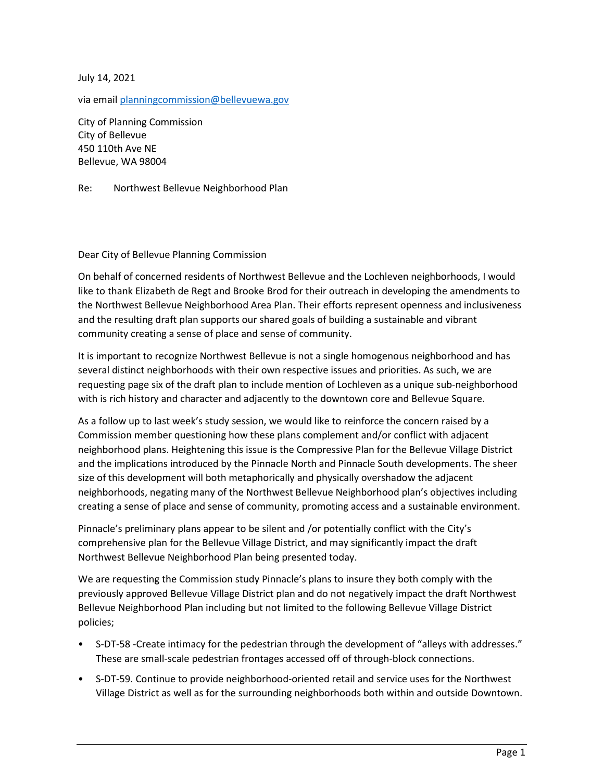July 14, 2021

via email planningcommission@bellevuewa.gov

City of Planning Commission City of Bellevue 450 110th Ave NE Bellevue, WA 98004

Re: Northwest Bellevue Neighborhood Plan

## Dear City of Bellevue Planning Commission

On behalf of concerned residents of Northwest Bellevue and the Lochleven neighborhoods, I would like to thank Elizabeth de Regt and Brooke Brod for their outreach in developing the amendments to the Northwest Bellevue Neighborhood Area Plan. Their efforts represent openness and inclusiveness and the resulting draft plan supports our shared goals of building a sustainable and vibrant community creating a sense of place and sense of community.

It is important to recognize Northwest Bellevue is not a single homogenous neighborhood and has several distinct neighborhoods with their own respective issues and priorities. As such, we are requesting page six of the draft plan to include mention of Lochleven as a unique sub-neighborhood with is rich history and character and adjacently to the downtown core and Bellevue Square.

As a follow up to last week's study session, we would like to reinforce the concern raised by a Commission member questioning how these plans complement and/or conflict with adjacent neighborhood plans. Heightening this issue is the Compressive Plan for the Bellevue Village District and the implications introduced by the Pinnacle North and Pinnacle South developments. The sheer size of this development will both metaphorically and physically overshadow the adjacent neighborhoods, negating many of the Northwest Bellevue Neighborhood plan's objectives including creating a sense of place and sense of community, promoting access and a sustainable environment.

Pinnacle's preliminary plans appear to be silent and /or potentially conflict with the City's comprehensive plan for the Bellevue Village District, and may significantly impact the draft Northwest Bellevue Neighborhood Plan being presented today.

We are requesting the Commission study Pinnacle's plans to insure they both comply with the previously approved Bellevue Village District plan and do not negatively impact the draft Northwest Bellevue Neighborhood Plan including but not limited to the following Bellevue Village District policies;

- S-DT-58 -Create intimacy for the pedestrian through the development of "alleys with addresses." These are small-scale pedestrian frontages accessed off of through-block connections.
- S-DT-59. Continue to provide neighborhood-oriented retail and service uses for the Northwest Village District as well as for the surrounding neighborhoods both within and outside Downtown.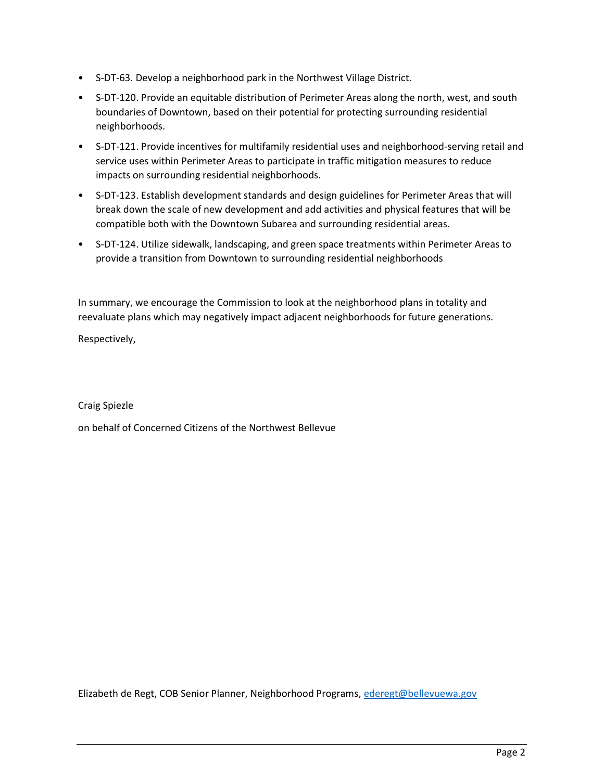- S-DT-63. Develop a neighborhood park in the Northwest Village District.
- S-DT-120. Provide an equitable distribution of Perimeter Areas along the north, west, and south boundaries of Downtown, based on their potential for protecting surrounding residential neighborhoods.
- S-DT-121. Provide incentives for multifamily residential uses and neighborhood-serving retail and service uses within Perimeter Areas to participate in traffic mitigation measures to reduce impacts on surrounding residential neighborhoods.
- S-DT-123. Establish development standards and design guidelines for Perimeter Areas that will break down the scale of new development and add activities and physical features that will be compatible both with the Downtown Subarea and surrounding residential areas.
- S-DT-124. Utilize sidewalk, landscaping, and green space treatments within Perimeter Areas to provide a transition from Downtown to surrounding residential neighborhoods

In summary, we encourage the Commission to look at the neighborhood plans in totality and reevaluate plans which may negatively impact adjacent neighborhoods for future generations.

Respectively,

Craig Spiezle

on behalf of Concerned Citizens of the Northwest Bellevue

Elizabeth de Regt, COB Senior Planner, Neighborhood Programs, ederegt@bellevuewa.gov